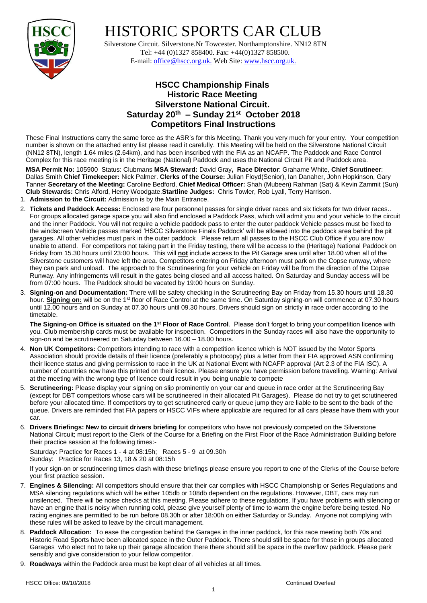

## HISTORIC SPORTS CAR CLUB

 Silverstone Circuit. Silverstone.Nr Towcester. Northamptonshire. NN12 8TN Tel: +44 (0)1327 858400. Fax: +44(0)1327 858500. E-mail: office@hscc.org.uk. Web Site: www.hscc.org.uk.

## **HSCC Championship Finals Historic Race Meeting Silverstone National Circuit. Saturday 20th – Sunday 21st October 2018 Competitors Final Instructions**

These Final Instructions carry the same force as the ASR's for this Meeting. Thank you very much for your entry. Your competition number is shown on the attached entry list please read it carefully. This Meeting will be held on the Silverstone National Circuit (NN12 8TN), length 1.64 miles (2.64km), and has been inscribed with the FIA as an NCAFP. The Paddock and Race Control Complex for this race meeting is in the Heritage (National) Paddock and uses the National Circuit Pit and Paddock area.

**MSA Permit No:** 105900 Status: Clubmans **MSA Steward:** David Gray**, Race Director**: Grahame White, **Chief Scrutineer**: Dallas Smith **Chief Timekeeper:** Nick Palmer. **Clerks of the Course:** Julian Floyd(Senior), Ian Danaher, John Hopkinson, Gary Tanner **Secretary of the Meeting:** Caroline Bedford, **Chief Medical Officer:** Shah (Mubeen) Rahman (Sat) & Kevin Zammit (Sun) **Club Stewards:** Chris Alford, Henry Woodgate.**Startline Judges:** Chris Towler, Rob Lyall, Terry Harrison.

- 1. **Admission to the Circuit:** Admission is by the Main Entrance.
- 2. **Tickets and Paddock Access:** Enclosed are four personnel passes for single driver races and six tickets for two driver races.. For groups allocated garage space you will also find enclosed a Paddock Pass, which will admit you and your vehicle to the circuit and the inner Paddock. You will not require a vehicle paddock pass to enter the outer paddock Vehicle passes must be fixed to the windscreen Vehicle passes marked 'HSCC Silverstone Finals Paddock' will be allowed into the paddock area behind the pit garages. All other vehicles must park in the outer paddock Please return all passes to the HSCC Club Office if you are now unable to attend. For competitors not taking part in the Friday testing, there will be access to the (Heritage) National Paddock on Friday from 15.30 hours until 23:00 hours. This will **not** include access to the Pit Garage area until after 18.00 when all of the Silverstone customers will have left the area. Competitors entering on Friday afternoon must park on the Copse runway, where they can park and unload. The approach to the Scrutineering for your vehicle on Friday will be from the direction of the Copse Runway. Any infringements will result in the gates being closed and all access halted. On Saturday and Sunday access will be from 07:00 hours. The Paddock should be vacated by 19:00 hours on Sunday.
- 3. **Signing-on and Documentation:** There will be safety checking in the Scrutineering Bay on Friday from 15.30 hours until 18.30 hour. **Signing on:** will be on the 1st floor of Race Control at the same time. On Saturday signing-on will commence at 07.30 hours until 12.00 hours and on Sunday at 07.30 hours until 09.30 hours. Drivers should sign on strictly in race order according to the timetable.

**The Signing-on Office is situated on the 1st Floor of Race Control**. Please don't forget to bring your competition licence with you. Club membership cards must be available for inspection. Competitors in the Sunday races will also have the opportunity to sign-on and be scrutineered on Saturday between 16.00 – 18.00 hours.

- 4. **Non UK Competitors:** Competitors intending to race with a competition licence which is NOT issued by the Motor Sports Association should provide details of their licence (preferably a photocopy) plus a letter from their FIA approved ASN confirming their licence status and giving permission to race in the UK at National Event with NCAFP approval (Art 2.3 of the FIA ISC). A number of countries now have this printed on their licence. Please ensure you have permission before travelling. Warning: Arrival at the meeting with the wrong type of licence could result in you being unable to compete
- 5. **Scrutineering:** Please display your signing on slip prominently on your car and queue in race order at the Scrutineering Bay (except for DBT competitors whose cars will be scrutineered in their allocated Pit Garages). Please do not try to get scrutineered before your allocated time. If competitors try to get scrutineered early or queue jump they are liable to be sent to the back of the queue. Drivers are reminded that FIA papers or HSCC VIFs where applicable are required for all cars please have them with your car.
- 6. **Drivers Briefings: New to circuit drivers briefing** for competitors who have not previously competed on the Silverstone National Circuit; must report to the Clerk of the Course for a Briefing on the First Floor of the Race Administration Building before their practice session at the following times:-

Saturday: Practice for Races 1 - 4 at 08:15h; Races 5 - 9 at 09.30h Sunday: Practice for Races 13, 18 & 20 at 08:15h

If your sign-on or scrutineering times clash with these briefings please ensure you report to one of the Clerks of the Course before your first practice session.

- 7. **Engines & Silencing:** All competitors should ensure that their car complies with HSCC Championship or Series Regulations and MSA silencing regulations which will be either 105db or 108db dependent on the regulations. However, DBT, cars may run unsilenced. There will be noise checks at this meeting. Please adhere to these regulations. If you have problems with silencing or have an engine that is noisy when running cold, please give yourself plenty of time to warm the engine before being tested. No racing engines are permitted to be run before 08.30h or after 18:00h on either Saturday or Sunday. Anyone not complying with these rules will be asked to leave by the circuit management.
- 8. **Paddock Allocation:** To ease the congestion behind the Garages in the inner paddock, for this race meeting both 70s and Historic Road Sports have been allocated space in the Outer Paddock. There should still be space for those in groups allocated Garages who elect not to take up their garage allocation there there should still be space in the overflow paddock. Please park sensibly and give consideration to your fellow competitor.
- 9. **Roadways** within the Paddock area must be kept clear of all vehicles at all times.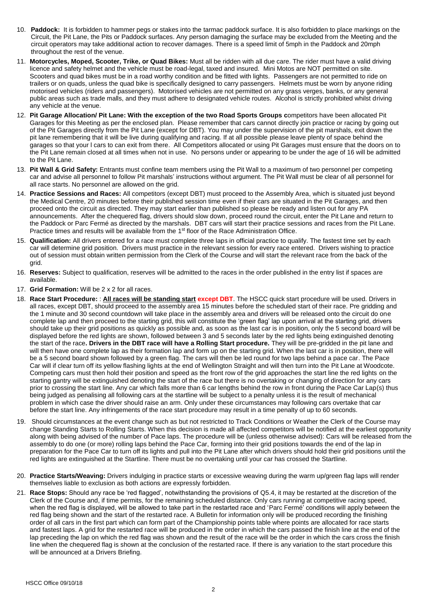- 10. **Paddock:** It is forbidden to hammer pegs or stakes into the tarmac paddock surface. It is also forbidden to place markings on the Circuit, the Pit Lane, the Pits or Paddock surfaces. Any person damaging the surface may be excluded from the Meeting and the circuit operators may take additional action to recover damages. There is a speed limit of 5mph in the Paddock and 20mph throughout the rest of the venue.
- 11. **Motorcycles, Moped, Scooter, Trike, or Quad Bikes:** Must all be ridden with all due care. The rider must have a valid driving licence and safety helmet and the vehicle must be road-legal, taxed and insured. Mini Motos are NOT permitted on site. Scooters and quad bikes must be in a road worthy condition and be fitted with lights. Passengers are not permitted to ride on trailers or on quads, unless the quad bike is specifically designed to carry passengers. Helmets must be worn by anyone riding motorised vehicles (riders and passengers). Motorised vehicles are not permitted on any grass verges, banks, or any general public areas such as trade malls, and they must adhere to designated vehicle routes. Alcohol is strictly prohibited whilst driving any vehicle at the venue.
- 12. **Pit Garage Allocation/ Pit Lane: With the exception of the two Road Sports Groups c**ompetitors have been allocated Pit Garages for this Meeting as per the enclosed plan. Please remember that cars cannot directly join practice or racing by going out of the Pit Garages directly from the Pit Lane (except for DBT). You may under the supervision of the pit marshals, exit down the pit lane remembering that it will be live during qualifying and racing. If at all possible please leave plenty of space behind the garages so that your l cars to can exit from there. All Competitors allocated or using Pit Garages must ensure that the doors on to the Pit Lane remain closed at all times when not in use. No persons under or appearing to be under the age of 16 will be admitted to the Pit Lane.
- 13. **Pit Wall & Grid Safety:** Entrants must confine team members using the Pit Wall to a maximum of two personnel per competing car and advise all personnel to follow Pit marshals' instructions without argument. The Pit Wall must be clear of all personnel for all race starts. No personnel are allowed on the grid.
- 14. **Practice Sessions and Races:** All competitors (except DBT) must proceed to the Assembly Area, which is situated just beyond the Medical Centre, 20 minutes before their published session time even if their cars are situated in the Pit Garages, and then proceed onto the circuit as directed. They may start earlier than published so please be ready and listen out for any PA announcements. After the chequered flag, drivers should slow down, proceed round the circuit, enter the Pit Lane and return to the Paddock or Parc Fermé as directed by the marshals. DBT cars will start their practice sessions and races from the Pit Lane. Practice times and results will be available from the 1<sup>st</sup> floor of the Race Administration Office.
- 15. **Qualification:** All drivers entered for a race must complete three laps in official practice to qualify. The fastest time set by each car will determine grid position. Drivers must practice in the relevant session for every race entered. Drivers wishing to practice out of session must obtain written permission from the Clerk of the Course and will start the relevant race from the back of the grid.
- 16. **Reserves:** Subject to qualification, reserves will be admitted to the races in the order published in the entry list if spaces are available.
- 17. **Grid Formation:** Will be 2 x 2 for all races.
- 18. **Race Start Procedure:** : **All races will be standing start except DBT**. The HSCC quick start procedure will be used. Drivers in all races, except DBT, should proceed to the assembly area 15 minutes before the scheduled start of their race. Pre gridding and the 1 minute and 30 second countdown will take place in the assembly area and drivers will be released onto the circuit do one complete lap and then proceed to the starting grid, this will constitute the 'green flag' lap upon arrival at the starting grid, drivers should take up their grid positions as quickly as possible and, as soon as the last car is in position, only the 5 second board will be displayed before the red lights are shown, followed between 3 and 5 seconds later by the red lights being extinguished denoting the start of the race**. Drivers in the DBT race will have a Rolling Start procedure.** They will be pre-gridded in the pit lane and will then have one complete lap as their formation lap and form up on the starting grid. When the last car is in position, there will be a 5 second board shown followed by a green flag. The cars will then be led round for two laps behind a pace car. The Pace Car will if clear turn off its yellow flashing lights at the end of Wellington Straight and will then turn into the Pit Lane at Woodcote. Competing cars must then hold their position and speed as the front row of the grid approaches the start line the red lights on the starting gantry will be extinguished denoting the start of the race but there is no overtaking or changing of direction for any cars prior to crossing the start line. Any car which falls more than 6 car lengths behind the row in front during the Pace Car Lap(s) thus being judged as penalising all following cars at the startline will be subject to a penalty unless it is the result of mechanical problem in which case the driver should raise an arm. Only under these circumstances may following cars overtake that car before the start line. Any infringements of the race start procedure may result in a time penalty of up to 60 seconds.
- 19. Should circumstances at the event change such as but not restricted to Track Conditions or Weather the Clerk of the Course may change Standing Starts to Rolling Starts. When this decision is made all affected competitors will be notified at the earliest opportunity along with being advised of the number of Pace laps. The procedure will be (unless otherwise advised): Cars will be released from the assembly to do one (or more) rolling laps behind the Pace Car, forming into their grid positions towards the end of the lap in preparation for the Pace Car to turn off its lights and pull into the Pit Lane after which drivers should hold their grid positions until the red lights are extinguished at the Startline. There must be no overtaking until your car has crossed the Startline.
- 20. **Practice Starts/Weaving:** Drivers indulging in practice starts or excessive weaving during the warm up/green flag laps will render themselves liable to exclusion as both actions are expressly forbidden.
- 21. **Race Stops:** Should any race be 'red flagged', notwithstanding the provisions of Q5.4, it may be restarted at the discretion of the Clerk of the Course and, if time permits, for the remaining scheduled distance. Only cars running at competitive racing speed, when the red flag is displayed, will be allowed to take part in the restarted race and 'Parc Fermé' conditions will apply between the red flag being shown and the start of the restarted race. A Bulletin for information only will be produced recording the finishing order of all cars in the first part which can form part of the Championship points table where points are allocated for race starts and fastest laps. A grid for the restarted race will be produced in the order in which the cars passed the finish line at the end of the lap preceding the lap on which the red flag was shown and the result of the race will be the order in which the cars cross the finish line when the chequered flag is shown at the conclusion of the restarted race. If there is any variation to the start procedure this will be announced at a Drivers Briefing.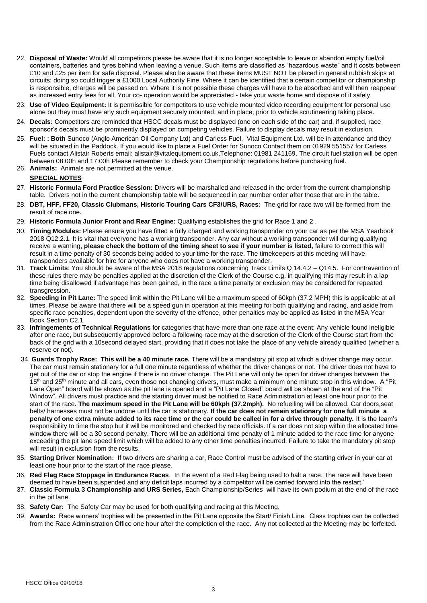- 22. **Disposal of Waste:** Would all competitors please be aware that it is no longer acceptable to leave or abandon empty fuel/oil containers, batteries and tyres behind when leaving a venue. Such items are classified as "hazardous waste" and it costs between £10 and £25 per item for safe disposal. Please also be aware that these items MUST NOT be placed in general rubbish skips at circuits; doing so could trigger a £1000 Local Authority Fine. Where it can be identified that a certain competitor or championship is responsible, charges will be passed on. Where it is not possible these charges will have to be absorbed and will then reappear as increased entry fees for all. Your co- operation would be appreciated - take your waste home and dispose of it safely.
- 23. **Use of Video Equipment:** It is permissible for competitors to use vehicle mounted video recording equipment for personal use alone but they must have any such equipment securely mounted, and in place, prior to vehicle scrutineering taking place.
- 24. **Decals:** Competitors are reminded that HSCC decals must be displayed (one on each side of the car) and, if supplied, race sponsor's decals must be prominently displayed on competing vehicles. Failure to display decals may result in exclusion.
- 25. **Fuel: : Both** Sunoco (Anglo American Oil Company Ltd) and Carless Fuel, Vital Equipment Ltd. will be in attendance and they will be situated in the Paddock. If you would like to place a Fuel Order for Sunoco Contact them on 01929 551557 for Carless Fuels contact Alistair Roberts email: alistair@vitalequipment.co.uk,Telephone: 01981 241169. The circuit fuel station will be open between 08:00h and 17:00h Please remember to check your Championship regulations before purchasing fuel.
- 26. **Animals:** Animals are not permitted at the venue.

## **SPECIAL NOTES**

- 27. **Historic Formula Ford Practice Session:** Drivers will be marshalled and released in the order from the current championship table. Drivers not in the current championship table will be sequenced in car number order after those that are in the table.
- 28. **DBT, HFF, FF20, Classic Clubmans, Historic Touring Cars CF3/URS, Races:** The grid for race two will be formed from the result of race one.
- 29. **Historic Formula Junior Front and Rear Engine:** Qualifying establishes the grid for Race 1 and 2 .
- 30. **Timing Modules:** Please ensure you have fitted a fully charged and working transponder on your car as per the MSA Yearbook 2018 Q12.2.1. It is vital that everyone has a working transponder. Any car without a working transponder will during qualifying receive a warning, **please check the bottom of the timing sheet to see if your number is listed,** failure to correct this will result in a time penalty of 30 seconds being added to your time for the race. The timekeepers at this meeting will have transponders available for hire for anyone who does not have a working transponder.
- 31. **Track Limits**: You should be aware of the MSA 2018 regulations concerning Track Limits Q 14.4.2 Q14.5. For contravention of these rules there may be penalties applied at the discretion of the Clerk of the Course e.g. in qualifying this may result in a lap time being disallowed if advantage has been gained, in the race a time penalty or exclusion may be considered for repeated transgression.
- 32. **Speeding in Pit Lane:** The speed limit within the Pit Lane will be a maximum speed of 60kph (37.2 MPH) this is applicable at all times. Please be aware that there will be a speed gun in operation at this meeting for both qualifying and racing, and aside from specific race penalties, dependent upon the severity of the offence, other penalties may be applied as listed in the MSA Year Book Section C2.1
- 33. **Infringements of Technical Regulations** for categories that have more than one race at the event: Any vehicle found ineligible after one race, but subsequently approved before a following race may at the discretion of the Clerk of the Course start from the back of the grid with a 10second delayed start, providing that it does not take the place of any vehicle already qualified (whether a reserve or not).
- 34. **Guards Trophy Race: This will be a 40 minute race.** There will be a mandatory pit stop at which a driver change may occur. The car must remain stationary for a full one minute regardless of whether the driver changes or not. The driver does not have to get out of the car or stop the engine if there is no driver change. The Pit Lane will only be open for driver changes between the 15<sup>th</sup> and 25<sup>th</sup> minute and all cars, even those not changing drivers, must make a minimum one minute stop in this window. A "Pit Lane Open" board will be shown as the pit lane is opened and a "Pit Lane Closed" board will be shown at the end of the "Pit Window". All drivers must practice and the starting driver must be notified to Race Administration at least one hour prior to the start of the race. **The maximum speed in the Pit Lane will be 60kph (37.2mph).** No refuelling will be allowed. Car doors,seat belts/ harnesses must not be undone until the car is stationary. **If the car does not remain stationary for one full minute a penalty of one extra minute added to its race time or the car could be called in for a drive through penalty.** It is the team's responsibility to time the stop but it will be monitored and checked by race officials. If a car does not stop within the allocated time window there will be a 30 second penalty. There will be an additional time penalty of 1 minute added to the race time for anyone exceeding the pit lane speed limit which will be added to any other time penalties incurred. Failure to take the mandatory pit stop will result in exclusion from the results.
- 35. **Starting Driver Nomination:** If two drivers are sharing a car, Race Control must be advised of the starting driver in your car at least one hour prior to the start of the race please.
- 36. **Red Flag Race Stoppage in Endurance Races**. In the event of a Red Flag being used to halt a race. The race will have been deemed to have been suspended and any deficit laps incurred by a competitor will be carried forward into the restart.'
- 37. **Classic Formula 3 Championship and URS Series,** Each Championship/Series will have its own podium at the end of the race in the pit lane.
- 38. **Safety Car:** The Safety Car may be used for both qualifying and racing at this Meeting.
- 39. **Awards:** Race winners' trophies will be presented in the Pit Lane opposite the Start/ Finish Line. Class trophies can be collected from the Race Administration Office one hour after the completion of the race. Any not collected at the Meeting may be forfeited.